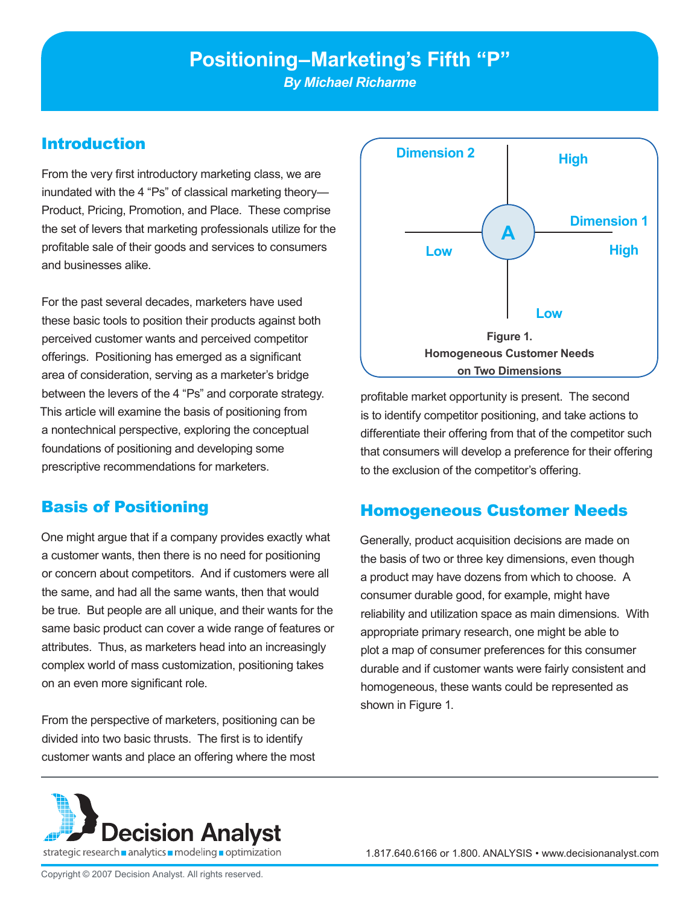# **Positioning–Marketing's Fifth "P"**

*By Michael Richarme*

#### Introduction

From the very first introductory marketing class, we are inundated with the 4 "Ps" of classical marketing theory— Product, Pricing, Promotion, and Place. These comprise the set of levers that marketing professionals utilize for the profitable sale of their goods and services to consumers and businesses alike.

For the past several decades, marketers have used these basic tools to position their products against both perceived customer wants and perceived competitor offerings. Positioning has emerged as a significant area of consideration, serving as a marketer's bridge between the levers of the 4 "Ps" and corporate strategy. This article will examine the basis of positioning from a nontechnical perspective, exploring the conceptual foundations of positioning and developing some prescriptive recommendations for marketers.

#### Basis of Positioning

One might argue that if a company provides exactly what a customer wants, then there is no need for positioning or concern about competitors. And if customers were all the same, and had all the same wants, then that would be true. But people are all unique, and their wants for the same basic product can cover a wide range of features or attributes. Thus, as marketers head into an increasingly complex world of mass customization, positioning takes on an even more significant role.

From the perspective of marketers, positioning can be divided into two basic thrusts. The first is to identify customer wants and place an offering where the most



profitable market opportunity is present. The second is to identify competitor positioning, and take actions to differentiate their offering from that of the competitor such that consumers will develop a preference for their offering to the exclusion of the competitor's offering.

#### Homogeneous Customer Needs

Generally, product acquisition decisions are made on the basis of two or three key dimensions, even though a product may have dozens from which to choose. A consumer durable good, for example, might have reliability and utilization space as main dimensions. With appropriate primary research, one might be able to plot a map of consumer preferences for this consumer durable and if customer wants were fairly consistent and homogeneous, these wants could be represented as shown in Figure 1.

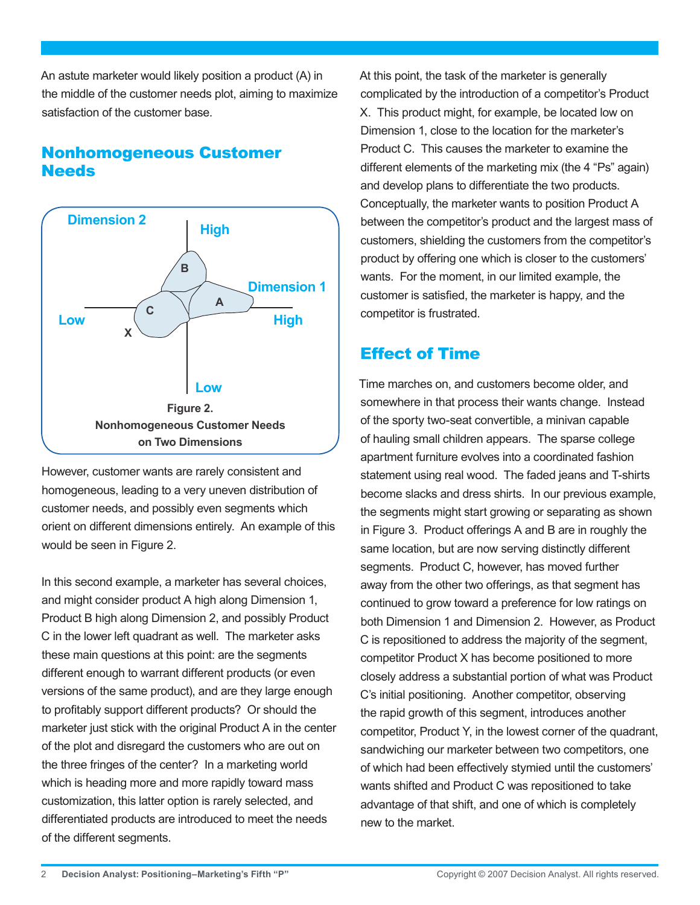An astute marketer would likely position a product (A) in the middle of the customer needs plot, aiming to maximize satisfaction of the customer base.

### Nonhomogeneous Customer **Needs**



However, customer wants are rarely consistent and homogeneous, leading to a very uneven distribution of customer needs, and possibly even segments which orient on different dimensions entirely. An example of this would be seen in Figure 2.

In this second example, a marketer has several choices, and might consider product A high along Dimension 1, Product B high along Dimension 2, and possibly Product C in the lower left quadrant as well. The marketer asks these main questions at this point: are the segments different enough to warrant different products (or even versions of the same product), and are they large enough to profitably support different products? Or should the marketer just stick with the original Product A in the center of the plot and disregard the customers who are out on the three fringes of the center? In a marketing world which is heading more and more rapidly toward mass customization, this latter option is rarely selected, and differentiated products are introduced to meet the needs of the different segments.

At this point, the task of the marketer is generally complicated by the introduction of a competitor's Product X. This product might, for example, be located low on Dimension 1, close to the location for the marketer's Product C. This causes the marketer to examine the different elements of the marketing mix (the 4 "Ps" again) and develop plans to differentiate the two products. Conceptually, the marketer wants to position Product A between the competitor's product and the largest mass of customers, shielding the customers from the competitor's product by offering one which is closer to the customers' wants. For the moment, in our limited example, the customer is satisfied, the marketer is happy, and the competitor is frustrated.

## Effect of Time

Time marches on, and customers become older, and somewhere in that process their wants change. Instead of the sporty two-seat convertible, a minivan capable of hauling small children appears. The sparse college apartment furniture evolves into a coordinated fashion statement using real wood. The faded jeans and T-shirts become slacks and dress shirts. In our previous example, the segments might start growing or separating as shown in Figure 3. Product offerings A and B are in roughly the same location, but are now serving distinctly different segments. Product C, however, has moved further away from the other two offerings, as that segment has continued to grow toward a preference for low ratings on both Dimension 1 and Dimension 2. However, as Product C is repositioned to address the majority of the segment, competitor Product X has become positioned to more closely address a substantial portion of what was Product C's initial positioning. Another competitor, observing the rapid growth of this segment, introduces another competitor, Product Y, in the lowest corner of the quadrant, sandwiching our marketer between two competitors, one of which had been effectively stymied until the customers' wants shifted and Product C was repositioned to take advantage of that shift, and one of which is completely new to the market.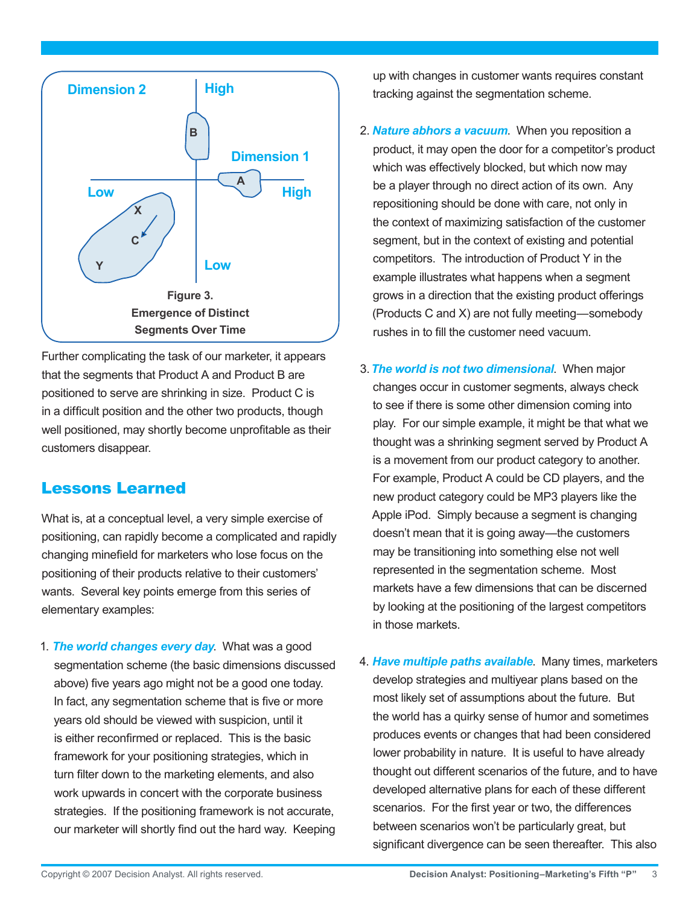

Further complicating the task of our marketer, it appears that the segments that Product A and Product B are positioned to serve are shrinking in size. Product C is in a difficult position and the other two products, though well positioned, may shortly become unprofitable as their customers disappear.

#### Lessons Learned

What is, at a conceptual level, a very simple exercise of positioning, can rapidly become a complicated and rapidly changing minefield for marketers who lose focus on the positioning of their products relative to their customers' wants. Several key points emerge from this series of elementary examples:

1. *The world changes every day*. What was a good segmentation scheme (the basic dimensions discussed above) five years ago might not be a good one today. In fact, any segmentation scheme that is five or more years old should be viewed with suspicion, until it is either reconfirmed or replaced. This is the basic framework for your positioning strategies, which in turn filter down to the marketing elements, and also work upwards in concert with the corporate business strategies. If the positioning framework is not accurate, our marketer will shortly find out the hard way. Keeping

up with changes in customer wants requires constant tracking against the segmentation scheme.

- 2. *Nature abhors a vacuum*. When you reposition a product, it may open the door for a competitor's product which was effectively blocked, but which now may be a player through no direct action of its own. Any repositioning should be done with care, not only in the context of maximizing satisfaction of the customer segment, but in the context of existing and potential competitors. The introduction of Product Y in the example illustrates what happens when a segment grows in a direction that the existing product offerings (Products C and X) are not fully meeting—somebody rushes in to fill the customer need vacuum.
- 3.*The world is not two dimensional*. When major changes occur in customer segments, always check to see if there is some other dimension coming into play. For our simple example, it might be that what we thought was a shrinking segment served by Product A is a movement from our product category to another. For example, Product A could be CD players, and the new product category could be MP3 players like the Apple iPod. Simply because a segment is changing doesn't mean that it is going away—the customers may be transitioning into something else not well represented in the segmentation scheme. Most markets have a few dimensions that can be discerned by looking at the positioning of the largest competitors in those markets.
- 4. *Have multiple paths available*. Many times, marketers develop strategies and multiyear plans based on the most likely set of assumptions about the future. But the world has a quirky sense of humor and sometimes produces events or changes that had been considered lower probability in nature. It is useful to have already thought out different scenarios of the future, and to have developed alternative plans for each of these different scenarios. For the first year or two, the differences between scenarios won't be particularly great, but significant divergence can be seen thereafter. This also